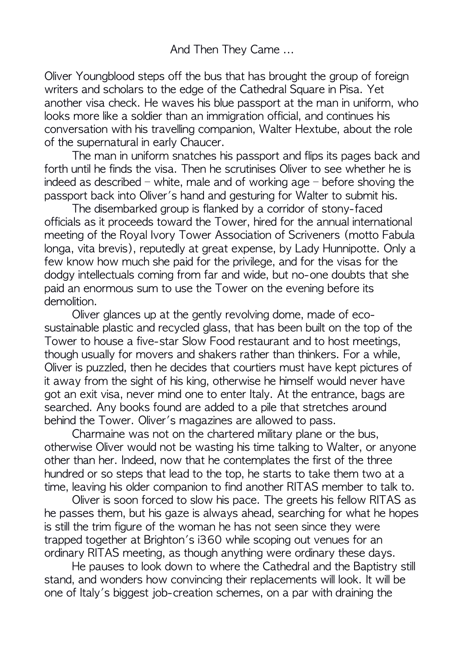Oliver Youngblood steps off the bus that has brought the group of foreign writers and scholars to the edge of the Cathedral Square in Pisa. Yet another visa check. He waves his blue passport at the man in uniform, who looks more like a soldier than an immigration official, and continues his conversation with his travelling companion, Walter Hextube, about the role of the supernatural in early Chaucer.

The man in uniform snatches his passport and flips its pages back and forth until he finds the visa. Then he scrutinises Oliver to see whether he is indeed as described – white, male and of working age – before shoving the passport back into Oliver's hand and gesturing for Walter to submit his.

The disembarked group is flanked by a corridor of stony-faced officials as it proceeds toward the Tower, hired for the annual international meeting of the Royal Ivory Tower Association of Scriveners (motto Fabula longa, vita brevis), reputedly at great expense, by Lady Hunnipotte. Only a few know how much she paid for the privilege, and for the visas for the dodgy intellectuals coming from far and wide, but no-one doubts that she paid an enormous sum to use the Tower on the evening before its demolition. 

Oliver alances up at the gently revolving dome, made of ecosustainable plastic and recycled glass, that has been built on the top of the Tower to house a five-star Slow Food restaurant and to host meetings, though usually for movers and shakers rather than thinkers. For a while, Oliver is puzzled, then he decides that courtiers must have kept pictures of it away from the sight of his king, otherwise he himself would never have got an exit visa, never mind one to enter Italy. At the entrance, bags are searched. Any books found are added to a pile that stretches around behind the Tower. Oliver's magazines are allowed to pass.

Charmaine was not on the chartered military plane or the bus, otherwise Oliver would not be wasting his time talking to Walter, or anyone other than her. Indeed, now that he contemplates the first of the three hundred or so steps that lead to the top, he starts to take them two at a time, leaving his older companion to find another RITAS member to talk to.

Oliver is soon forced to slow his pace. The greets his fellow RITAS as he passes them, but his gaze is always ahead, searching for what he hopes is still the trim figure of the woman he has not seen since they were trapped together at Brighton's i360 while scoping out venues for an ordinary RITAS meeting, as though anything were ordinary these days.

He pauses to look down to where the Cathedral and the Baptistry still stand, and wonders how convincing their replacements will look. It will be one of Italy's biggest job-creation schemes, on a par with draining the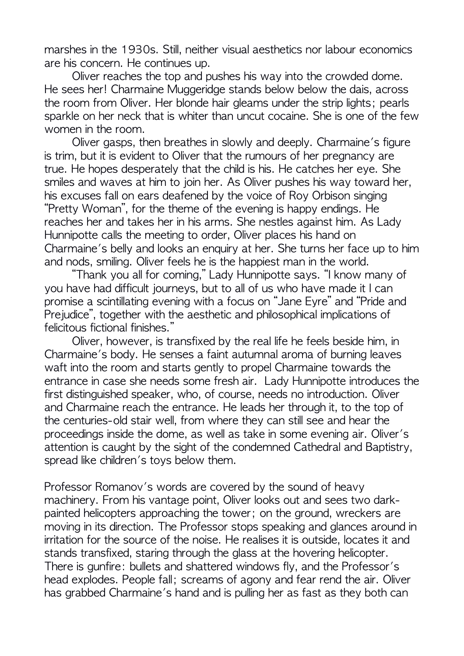marshes in the 1930s. Still, neither visual aesthetics nor labour economics are his concern. He continues up.

Oliver reaches the top and pushes his way into the crowded dome. He sees her! Charmaine Muggeridge stands below below the dais, across the room from Oliver. Her blonde hair gleams under the strip lights; pearls sparkle on her neck that is whiter than uncut cocaine. She is one of the few women in the room.

Oliver gasps, then breathes in slowly and deeply. Charmaine's figure is trim, but it is evident to Oliver that the rumours of her pregnancy are true. He hopes desperately that the child is his. He catches her eye. She smiles and waves at him to join her. As Oliver pushes his way toward her, his excuses fall on ears deafened by the voice of Roy Orbison singing "Pretty Woman", for the theme of the evening is happy endings. He reaches her and takes her in his arms. She nestles against him. As Lady Hunnipotte calls the meeting to order, Oliver places his hand on Charmaine's belly and looks an enquiry at her. She turns her face up to him and nods, smiling. Oliver feels he is the happiest man in the world.

"Thank you all for coming," Lady Hunnipotte says. "I know many of you have had difficult journeys, but to all of us who have made it I can promise a scintillating evening with a focus on "Jane Eyre" and "Pride and Prejudice", together with the aesthetic and philosophical implications of felicitous fictional finishes."

Oliver, however, is transfixed by the real life he feels beside him, in Charmaine's body. He senses a faint autumnal aroma of burning leaves waft into the room and starts gently to propel Charmaine towards the entrance in case she needs some fresh air. Lady Hunnipotte introduces the first distinguished speaker, who, of course, needs no introduction. Oliver and Charmaine reach the entrance. He leads her through it, to the top of the centuries-old stair well, from where they can still see and hear the proceedings inside the dome, as well as take in some evening air. Oliver's attention is caught by the sight of the condemned Cathedral and Baptistry, spread like children's toys below them.

Professor Romanov's words are covered by the sound of heavy machinery. From his vantage point, Oliver looks out and sees two darkpainted helicopters approaching the tower; on the ground, wreckers are moving in its direction. The Professor stops speaking and glances around in irritation for the source of the noise. He realises it is outside, locates it and stands transfixed, staring through the glass at the hovering helicopter. There is aunfire: bullets and shattered windows fly, and the Professor's head explodes. People fall; screams of agony and fear rend the air. Oliver has grabbed Charmaine's hand and is pulling her as fast as they both can